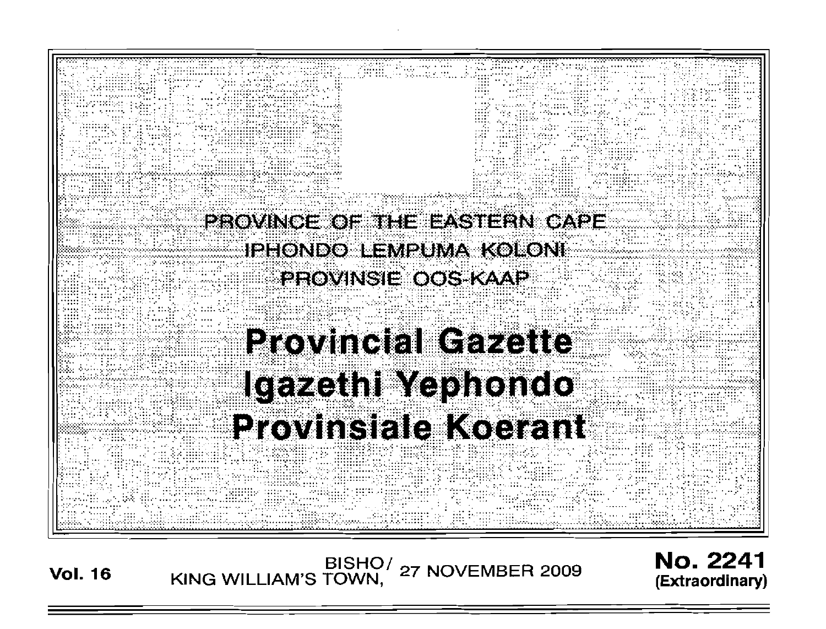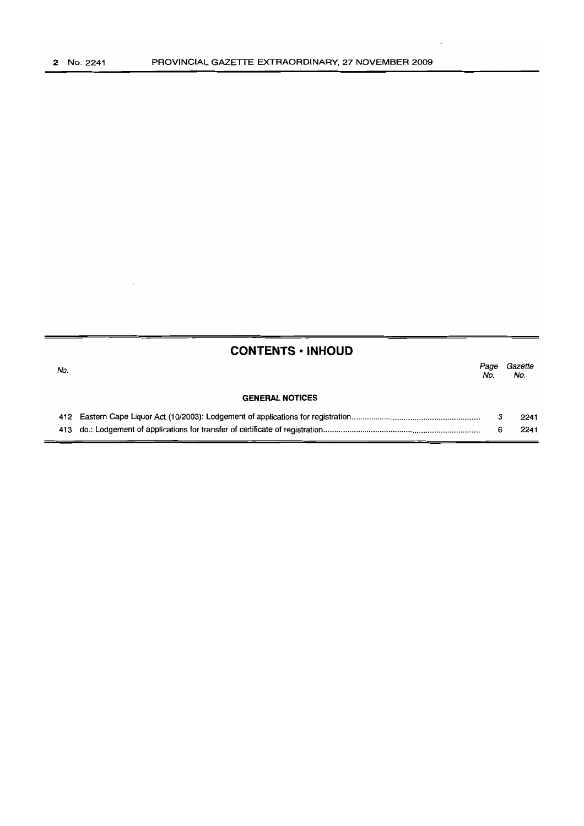$\overline{\phantom{a}}$ 

|     | <b>CONTENTS • INHOUD</b> |             |                |
|-----|--------------------------|-------------|----------------|
| No. |                          | Page<br>No. | Gazette<br>No. |
|     | <b>GENERAL NOTICES</b>   |             |                |
|     |                          | з           | 2241           |
|     |                          | 6           | 2241           |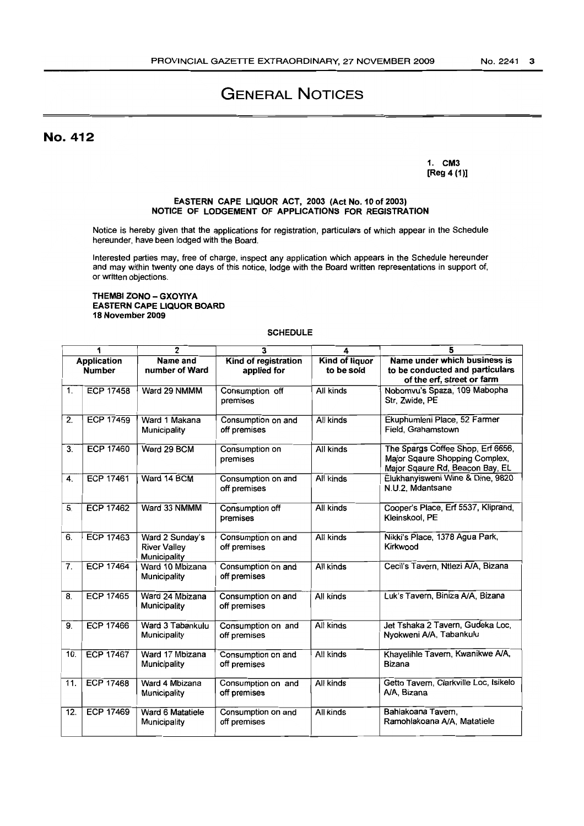# GENERAL NOTICES

# No. 412

1. CM3 [Reg 4 (1)]

#### EASTERN CAPE LIQUOR ACT, 2003 (Act No. 10 of 2003) NOTICE OF LODGEMENT OF APPLICATIONS FOR REGISTRATION

Notice is hereby given that the applications for registration, particulars of which appear in the Schedule hereunder, have been lodged with the Board.

Interested parties may, free of charge, inspect any application which appears in the Schedule hereunder and may within twenty one days of this notice, lodge with the Board written representations in support of, or written objections.

#### THEMBI ZONO - GXOYIYA EASTERN CAPE LIQUOR BOARD 18 November 2009

#### SCHEDULE

| 1                                   |                  | $\overline{2}$                                         | 3                                   | 4                                   | 5                                                                                                      |
|-------------------------------------|------------------|--------------------------------------------------------|-------------------------------------|-------------------------------------|--------------------------------------------------------------------------------------------------------|
| <b>Application</b><br><b>Number</b> |                  | Name and<br>number of Ward                             | Kind of registration<br>applied for | <b>Kind of liquor</b><br>to be sold | Name under which business is<br>to be conducted and particulars<br>of the erf, street or farm          |
| 1 <sub>1</sub>                      | <b>ECP 17458</b> | Ward 29 NMMM                                           | Consumption off<br>premises         | All kinds                           | Nobomvu's Spaza, 109 Mabopha<br>Str, Zwide, PE                                                         |
| 2.                                  | <b>ECP 17459</b> | Ward 1 Makana<br>Municipality                          | Consumption on and<br>off premises  | All kinds                           | Ekuphumleni Place, 52 Farmer<br>Field, Grahamstown                                                     |
| 3.                                  | <b>ECP 17460</b> | Ward 29 BCM                                            | Consumption on<br>premises          | All kinds                           | The Spargs Coffee Shop, Erf 6656,<br>Major Sqaure Shopping Complex,<br>Major Sqaure Rd, Beacon Bay, EL |
| 4.                                  | <b>ECP 17461</b> | Ward 14 BCM                                            | Consumption on and<br>off premises  | All kinds                           | Elukhanyisweni Wine & Dine, 9820<br>N.U.2. Mdantsane                                                   |
| 5.                                  | <b>ECP 17462</b> | Ward 33 NMMM                                           | Consumption off<br>premises         | All kinds                           | Cooper's Place, Erf 5537, Kliprand,<br>Kleinskool, PE                                                  |
| 6.                                  | <b>ECP 17463</b> | Ward 2 Sunday's<br><b>River Valley</b><br>Municipality | Consumption on and<br>off premises  | <b>All kinds</b>                    | Nikki's Place, 1378 Agua Park,<br>Kirkwood                                                             |
| $\overline{7}$ .                    | <b>ECP 17464</b> | Ward 10 Mbizana<br>Municipality                        | Consumption on and<br>off premises  | All kinds                           | Cecil's Tavern, Ntlezi A/A, Bizana                                                                     |
| 8.                                  | <b>ECP 17465</b> | Ward 24 Mbizana<br>Municipality                        | Consumption on and<br>off premises  | All kinds                           | Luk's Tavern, Biniza A/A, Bizana                                                                       |
| 9.                                  | <b>ECP 17466</b> | Ward 3 Tabankulu<br>Municipality                       | Consumption on and<br>off premises  | All kinds                           | Jet Tshaka 2 Tavern, Gudeka Loc,<br>Nyokweni A/A, Tabankulu                                            |
| 10.                                 | <b>ECP 17467</b> | Ward 17 Mbizana<br>Municipality                        | Consumption on and<br>off premises  | All kinds                           | Khayelihle Tavern, Kwanikwe A/A,<br><b>Bizana</b>                                                      |
| 11.                                 | <b>ECP 17468</b> | Ward 4 Mbizana<br>Municipality                         | Consumption on and<br>off premises  | All kinds                           | Getto Tavern, Clarkville Loc, isikelo<br>A/A. Bizana                                                   |
| 12.                                 | <b>ECP 17469</b> | Ward 6 Matatiele<br>Municipality                       | Consumption on and<br>off premises  | <b>All kinds</b>                    | Bahlakoana Tavern,<br>Ramohlakoana A/A, Matatiele                                                      |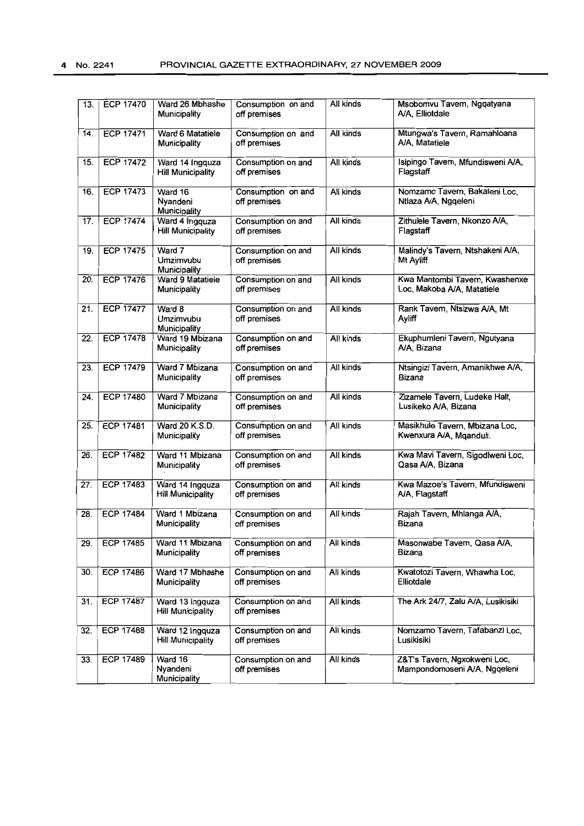| 13. | <b>ECP 17470</b> | Ward 26 Mbhashe<br>Municipality             | Consumption on and<br>off premises | All kinds        | Msobomvu Tavem, Ngqatyana<br>A/A, Elliotdale                 |
|-----|------------------|---------------------------------------------|------------------------------------|------------------|--------------------------------------------------------------|
| 14. | <b>ECP 17471</b> | Ward 6 Matatiele<br><b>Municipality</b>     | Consumption on and<br>off premises | All kinds        | Mtungwa's Tavern, Ramahloana<br>A/A, Matatiele               |
| 15. | <b>ECP 17472</b> | Ward 14 Ingquza<br><b>Hill Municipality</b> | Consumption on and<br>off premises | All kinds        | Isipingo Tavem, Mfundisweni A/A,<br>Flagstaff                |
| 16. | <b>ECP 17473</b> | Ward 16<br>Nyandeni<br>Municipality         | Consumption on and<br>off premises | All kinds        | Nomzamo Tavern, Bakaleni Loc,<br>Ntlaza A/A, Ngqeleni        |
| 17. | <b>ECP 17474</b> | Ward 4 Ingquza<br><b>Hill Municipality</b>  | Consumption on and<br>off premises | All kinds        | Zithulele Tavern, Nkonzo A/A,<br>Flagstaff                   |
| 19. | <b>ECP 17475</b> | Ward 7<br>Umzimvubu<br>Municipality         | Consumption on and<br>off premises | All kinds        | Malindy's Tavern, Ntshakeni A/A,<br>Mt Ayliff                |
| 20. | <b>ECP 17476</b> | Ward 9 Matatiele<br>Municipality            | Consumption on and<br>off premises | All kinds        | Kwa Mantombi Tavern, Kwashenxe<br>Loc, Makoba A/A, Matatiele |
| 21. | <b>ECP 17477</b> | Ward 8<br>Umzimvubu<br>Municipality         | Consumption on and<br>off premises | All kinds        | Rank Tavem, Ntsizwa A/A, Mt<br>Ayliff                        |
| 22. | <b>ECP 17478</b> | Ward 19 Mbizana<br>Municipality             | Consumption on and<br>off premises | All kinds        | Ekuphumleni Tavern, Ngutyana<br>A/A, Bizana                  |
| 23. | <b>ECP 17479</b> | Ward 7 Mbizana<br>Municipality              | Consumption on and<br>off premises | <b>All kinds</b> | Ntsingizi Tavern, Amanikhwe A/A,<br>Bizana                   |
| 24. | <b>ECP 17480</b> | Ward 7 Mbizana<br>Municipality              | Consumption on and<br>off premises | All kinds        | Zizamele Tavern, Ludeke Halt,<br>Lusikeko A/A, Bizana        |
| 25. | <b>ECP 17481</b> | Ward 20 K.S.D.<br>Municipality              | Consumption on and<br>off premises | All kinds        | Masikhule Tavern, Mbizana Loc,<br>Kwenxura A/A, Mqanduli.    |
| 26. | <b>ECP 17482</b> | Ward 11 Mbizana<br>Municipality             | Consumption on and<br>off premises | All kinds        | Kwa Mavi Tavern, Sigodlweni Loc,<br>Qasa A/A, Bizana         |
| 27. | <b>ECP 17483</b> | Ward 14 Ingquza<br><b>Hill Municipality</b> | Consumption on and<br>off premises | All kinds        | Kwa Mazoe's Tavern, Mfundisweni<br>A/A, Flagstaff            |
| 28. | <b>ECP 17484</b> | Ward 1 Mbizana<br>Municipality              | Consumption on and<br>off premises | All kinds        | Rajah Tavern, Mhlanga A/A,<br>Bizana                         |
| 29. | <b>ECP 17485</b> | Ward 11 Mbizana<br>Municipality             | Consumption on and<br>off premises | All kinds        | Masonwabe Tavem, Qasa A/A,<br>Bizana                         |
| 30. | <b>ECP 17486</b> | Ward 17 Mbhashe<br>Municipality             | Consumption on and<br>off premises | All kinds        | Kwatotozi Tavern, Whawha Loc,<br>Elliotdale                  |
| 31. | <b>ECP 17487</b> | Ward 13 Ingquza<br><b>Hill Municipality</b> | Consumption on and<br>off premises | All kinds        | The Ark 24/7, Zalu A/A, Lusikisiki                           |
| 32. | <b>ECP 17488</b> | Ward 12 Ingquza<br><b>Hill Municipality</b> | Consumption on and<br>off premises | All kinds        | Nomzamo Tavern, Tafabanzi Loc,<br>Lusikisiki                 |
| 33. | <b>ECP 17489</b> | Ward 16<br>Nyandeni<br>Municipality         | Consumption on and<br>off premises | All kinds        | Z&T's Tavern, Ngxokweni Loc,<br>Mampondomoseni A/A, Ngqeleni |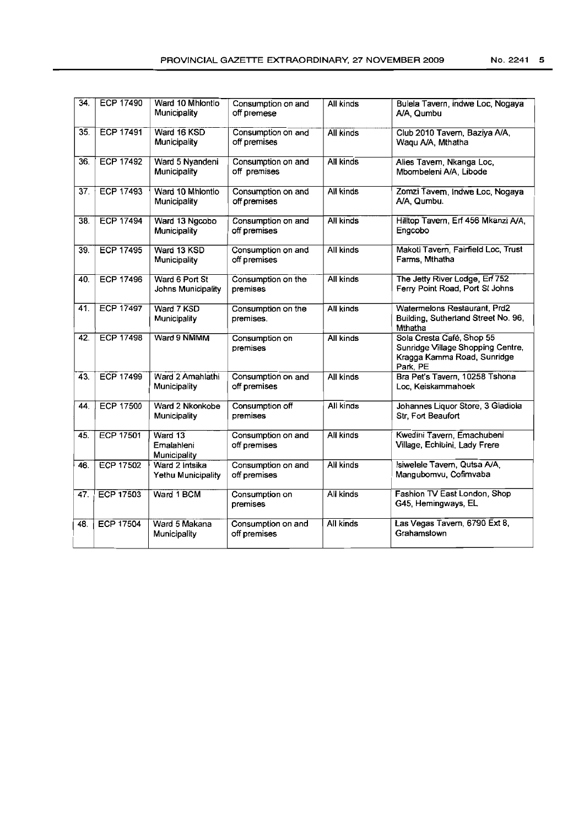| 34. | <b>ECP 17490</b> | Ward 10 Mhlontlo<br>Municipality      | Consumption on and<br>off premese  | All kinds        | Bulela Tavern, indwe Loc, Nogaya<br>A/A. Qumbu                                                            |
|-----|------------------|---------------------------------------|------------------------------------|------------------|-----------------------------------------------------------------------------------------------------------|
| 35. | <b>ECP 17491</b> | Ward 16 KSD<br>Municipality           | Consumption on and<br>off premises | All kinds        | Club 2010 Tavern, Baziya A/A,<br>Waqu A/A, Mthatha                                                        |
| 36. | <b>ECP 17492</b> | Ward 5 Nyandeni<br>Municipality       | Consumption on and<br>off premises | <b>All kinds</b> | Alies Tavem, Nkanga Loc,<br>Mbombeleni A/A, Libode                                                        |
| 37. | <b>ECP 17493</b> | Ward 10 Mhiontio<br>Municipality      | Consumption on and<br>off premises | All kinds        | Zomzi Tavern, Indwe Loc, Nogaya<br>A/A, Qumbu.                                                            |
| 38. | <b>ECP 17494</b> | Ward 13 Ngcobo<br>Municipality        | Consumption on and<br>off premises | All kinds        | Hilltop Tavern, Erf 456 Mkanzi A/A,<br>Engcobo                                                            |
| 39. | <b>ECP 17495</b> | Ward 13 KSD<br>Municipality           | Consumption on and<br>off premises | All kinds        | Makoti Tavern, Fairfield Loc, Trust<br>Farms, Mthatha                                                     |
| 40. | <b>ECP 17496</b> | Ward 6 Port St<br>Johns Municipality  | Consumption on the<br>premises     | All kinds        | The Jetty River Lodge, Erf 752<br>Ferry Point Road, Port St Johns                                         |
| 41. | <b>ECP 17497</b> | Ward 7 KSD<br>Municipality            | Consumption on the<br>premises.    | All kinds        | Watermelons Restaurant, Prd2<br>Building, Sutherland Street No. 96,<br>Mthatha                            |
| 42. | <b>ECP 17498</b> | Ward 9 NMMM                           | Consumption on<br>premises         | All kinds        | Sola Cresta Café, Shop 55<br>Sunridge Village Shopping Centre,<br>Kragga Kamma Road, Sunridge<br>Park, PE |
| 43. | <b>ECP 17499</b> | Ward 2 Amahlathi<br>Municipality      | Consumption on and<br>off premises | All kinds        | Bra Pet's Tavern, 10258 Tshona<br>Loc, Keiskammahoek                                                      |
| 44. | <b>ECP 17500</b> | Ward 2 Nkonkobe<br>Municipality       | Consumption off<br>premises        | All kinds        | Johannes Liquor Store, 3 Gladiola<br>Str, Fort Beaufort                                                   |
| 45. | <b>ECP 17501</b> | Ward 13<br>Emalahleni<br>Municipality | Consumption on and<br>off premises | All kinds        | Kwedini Tavern, Emachubeni<br>Village, Echibini, Lady Frere                                               |
| 46. | <b>ECP 17502</b> | Ward 2 Intsika<br>Yethu Municipality  | Consumption on and<br>off premises | All kinds        | Isiwelele Tavern, Qutsa A/A.<br>Mangubomvu, Cofimvaba                                                     |
| 47. | ECP 17503        | Ward 1 BCM                            | Consumption on<br>premises         | All kinds        | Fashion TV East London, Shop<br>G45, Hemingways, EL                                                       |
| 48. | <b>ECP 17504</b> | Ward 5 Makana<br>Municipality         | Consumption on and<br>off premises | All kinds        | Las Vegas Tavern, 6790 Ext 8,<br>Grahamstown                                                              |